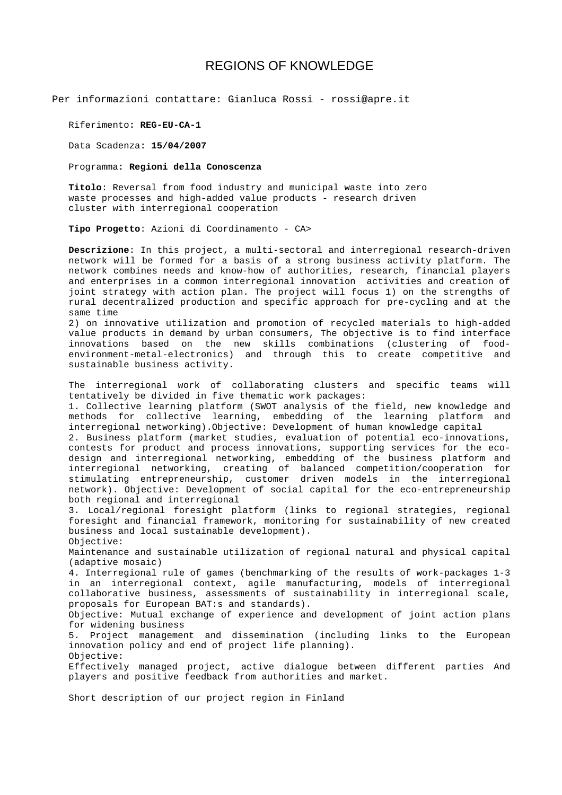## REGIONS OF KNOWLEDGE

Per informazioni contattare: Gianluca Rossi - rossi@apre.it

Riferimento**: REG-EU-CA-1** 

Data Scadenza**: 15/04/2007** 

Programma**: Regioni della Conoscenza**

**Titolo**: Reversal from food industry and municipal waste into zero waste processes and high-added value products - research driven cluster with interregional cooperation

**Tipo Progetto**: Azioni di Coordinamento - CA>

**Descrizione**: In this project, a multi-sectoral and interregional research-driven network will be formed for a basis of a strong business activity platform. The network combines needs and know-how of authorities, research, financial players and enterprises in a common interregional innovation activities and creation of joint strategy with action plan. The project will focus 1) on the strengths of rural decentralized production and specific approach for pre-cycling and at the same time

2) on innovative utilization and promotion of recycled materials to high-added value products in demand by urban consumers, The objective is to find interface innovations based on the new skills combinations (clustering of foodenvironment-metal-electronics) and through this to create competitive and sustainable business activity.

The interregional work of collaborating clusters and specific teams will tentatively be divided in five thematic work packages:

1. Collective learning platform (SWOT analysis of the field, new knowledge and methods for collective learning, embedding of the learning platform and interregional networking).Objective: Development of human knowledge capital

2. Business platform (market studies, evaluation of potential eco-innovations, contests for product and process innovations, supporting services for the ecodesign and interregional networking, embedding of the business platform and interregional networking, creating of balanced competition/cooperation for stimulating entrepreneurship, customer driven models in the interregional network). Objective: Development of social capital for the eco-entrepreneurship both regional and interregional

3. Local/regional foresight platform (links to regional strategies, regional foresight and financial framework, monitoring for sustainability of new created business and local sustainable development). Objective:

Maintenance and sustainable utilization of regional natural and physical capital (adaptive mosaic)

4. Interregional rule of games (benchmarking of the results of work-packages 1-3 in an interregional context, agile manufacturing, models of interregional collaborative business, assessments of sustainability in interregional scale, proposals for European BAT:s and standards).

Objective: Mutual exchange of experience and development of joint action plans for widening business

5. Project management and dissemination (including links to the European innovation policy and end of project life planning). Objective:

Effectively managed project, active dialogue between different parties And players and positive feedback from authorities and market.

Short description of our project region in Finland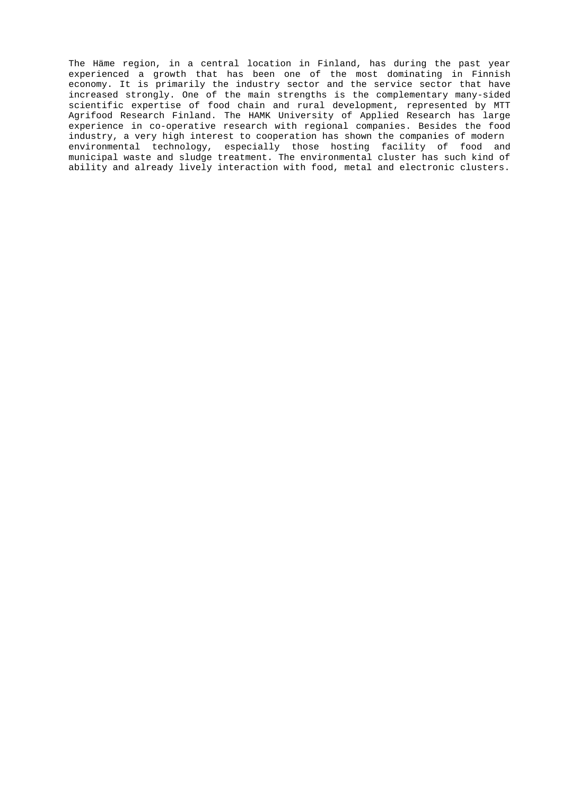The Häme region, in a central location in Finland, has during the past year experienced a growth that has been one of the most dominating in Finnish economy. It is primarily the industry sector and the service sector that have increased strongly. One of the main strengths is the complementary many-sided scientific expertise of food chain and rural development, represented by MTT Agrifood Research Finland. The HAMK University of Applied Research has large experience in co-operative research with regional companies. Besides the food industry, a very high interest to cooperation has shown the companies of modern environmental technology, especially those hosting facility of food and municipal waste and sludge treatment. The environmental cluster has such kind of ability and already lively interaction with food, metal and electronic clusters.